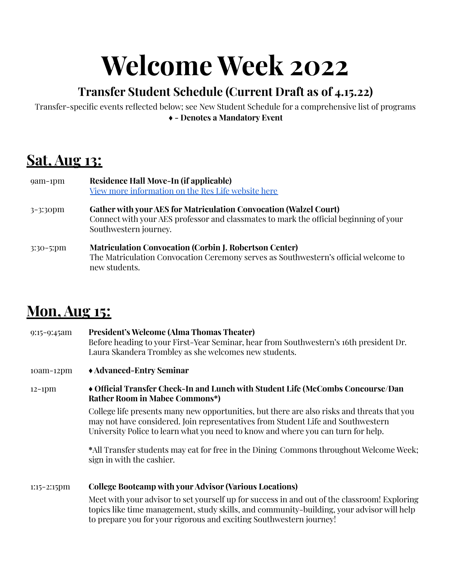# **Welcome Week 2022**

### **Transfer Student Schedule (Current Draft as of 4.15.22)**

Transfer-specific events reflected below; see New Student Schedule for a comprehensive list of programs **♦ - Denotes a Mandatory Event**

## **Sat, Aug 13:**

| $9am-1pm$   | Residence Hall Move-In (if applicable)<br>View more information on the Res Life website here                                                                                               |
|-------------|--------------------------------------------------------------------------------------------------------------------------------------------------------------------------------------------|
| 3-3:30pm    | <b>Gather with your AES for Matriculation Convocation (Walzel Court)</b><br>Connect with your AES professor and classmates to mark the official beginning of your<br>Southwestern journey. |
| $3:30-5:pm$ | <b>Matriculation Convocation (Corbin J. Robertson Center)</b><br>The Matriculation Convocation Ceremony serves as Southwestern's official welcome to<br>new students.                      |

### **Mon, Aug 15:**

| $9:15-9:45am$           | <b>President's Welcome (Alma Thomas Theater)</b><br>Before heading to your First-Year Seminar, hear from Southwestern's 16th president Dr.<br>Laura Skandera Trombley as she welcomes new students.                                                                  |
|-------------------------|----------------------------------------------------------------------------------------------------------------------------------------------------------------------------------------------------------------------------------------------------------------------|
| $10am-12pm$             | ◆ Advanced-Entry Seminar                                                                                                                                                                                                                                             |
| $12-1$ pm               | ◆ Official Transfer Check-In and Lunch with Student Life (McCombs Concourse/Dan<br><b>Rather Room in Mabee Commons*)</b>                                                                                                                                             |
|                         | College life presents many new opportunities, but there are also risks and threats that you<br>may not have considered. Join representatives from Student Life and Southwestern<br>University Police to learn what you need to know and where you can turn for help. |
|                         | *All Transfer students may eat for free in the Dining Commons throughout Welcome Week;<br>sign in with the cashier.                                                                                                                                                  |
| $1:15-2:15$ $\text{pm}$ | <b>College Bootcamp with your Advisor (Various Locations)</b>                                                                                                                                                                                                        |
|                         | Meet with your advisor to set yourself up for success in and out of the classroom! Exploring<br>topics like time management, study skills, and community-building, your advisor will help                                                                            |

to prepare you for your rigorous and exciting Southwestern journey!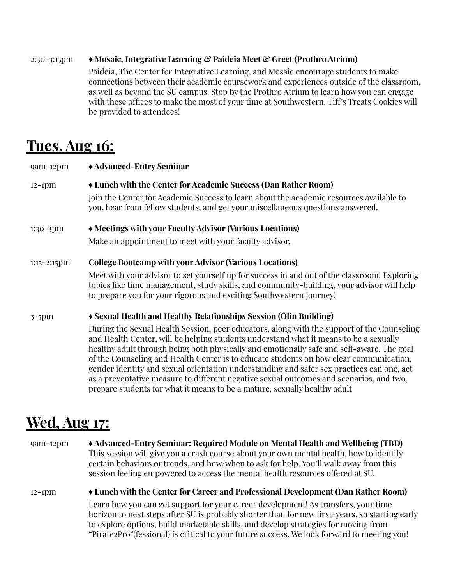#### 2:30-3:15pm **♦ Mosaic, Integrative Learning & Paideia Meet & Greet (Prothro Atrium)**

Paideia, The Center for Integrative Learning, and Mosaic encourage students to make connections between their academic coursework and experiences outside of the classroom, as well as beyond the SU campus. Stop by the Prothro Atrium to learn how you can engage with these offices to make the most of your time at Southwestern. Tiff's Treats Cookies will be provided to attendees!

### **Tues, Aug 16:**

| $9am-12pm$     | ◆ Advanced-Entry Seminar                                                                                                                                                                                                                                                                                                                                                   |
|----------------|----------------------------------------------------------------------------------------------------------------------------------------------------------------------------------------------------------------------------------------------------------------------------------------------------------------------------------------------------------------------------|
| $12-1$ pm      | • Lunch with the Center for Academic Success (Dan Rather Room)                                                                                                                                                                                                                                                                                                             |
|                | Join the Center for Academic Success to learn about the academic resources available to<br>you, hear from fellow students, and get your miscellaneous questions answered.                                                                                                                                                                                                  |
| $1:30-3$ pm    | • Meetings with your Faculty Advisor (Various Locations)                                                                                                                                                                                                                                                                                                                   |
|                | Make an appointment to meet with your faculty advisor.                                                                                                                                                                                                                                                                                                                     |
| $1:15-2:15$ pm | <b>College Bootcamp with your Advisor (Various Locations)</b>                                                                                                                                                                                                                                                                                                              |
|                | Meet with your advisor to set yourself up for success in and out of the classroom! Exploring<br>topics like time management, study skills, and community-building, your advisor will help<br>to prepare you for your rigorous and exciting Southwestern journey!                                                                                                           |
| $3-5$ pm       | ◆ Sexual Health and Healthy Relationships Session (Olin Building)                                                                                                                                                                                                                                                                                                          |
|                | During the Sexual Health Session, peer educators, along with the support of the Counseling<br>and Health Center, will be helping students understand what it means to be a sexually<br>healthy adult through being both physically and emotionally safe and self-aware. The goal<br>of the Counseling and Health Center is to educate students on how clear communication, |

as a preventative measure to different negative sexual outcomes and scenarios, and two, prepare students for what it means to be a mature, sexually healthy adult

gender identity and sexual orientation understanding and safer sex practices can one, act

# **Wed, Aug 17:**

9am-12pm **♦ Advanced-Entry Seminar: Required Module on Mental Health and Wellbeing (TBD)** This session will give you a crash course about your own mental health, how to identify certain behaviors or trends, and how/when to ask for help. You'll walk away from this session feeling empowered to access the mental health resources offered at SU.

12-1pm **♦ Lunch with the Center for Career and Professional Development (Dan Rather Room)** Learn how you can get support for your career development! As transfers, your time horizon to next steps after SU is probably shorter than for new first-years, so starting early to explore options, build marketable skills, and develop strategies for moving from "Pirate2Pro"(fessional) is critical to your future success. We look forward to meeting you!